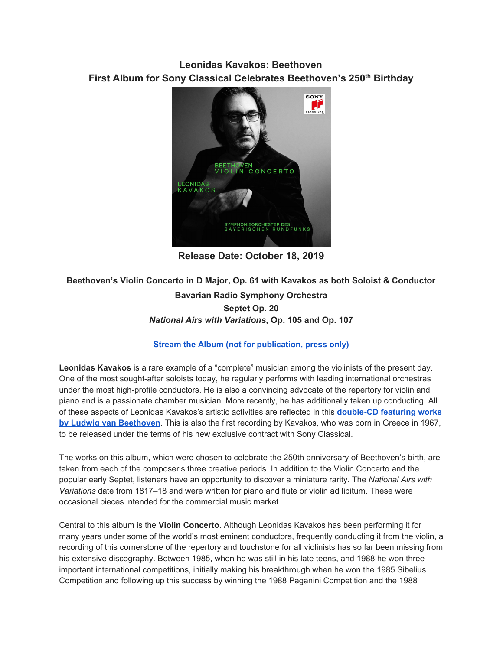## **Leonidas Kavakos: Beethoven First Album for Sony Classical Celebrates Beethoven's 250th Birthday**



**Release Date: October 18, 2019**

## **Beethoven's Violin Concerto in D Major, Op. 61 with Kavakos as both Soloist & Conductor Bavarian Radio Symphony Orchestra Septet Op. 20** *National Airs with Variations***, Op. 105 and Op. 107**

## **Stream the Album (not for [publication,](https://u7061146.ct.sendgrid.net/wf/click?upn=G62jSYfZdO-2F12d8lSllQBz90VWQsVigh5nYJ0tmSr7hi5hkeSBpyC6rC-2BFxHZyP-2BUnVSTD9rPMbQV8olLitwgbBv9sOFpKqk2e0AODV42GMwebRRQFAlPg4at9sIxTJs_DruDjhchMBr5xQkz3h1qcOnjZc-2BCsAVhraQ7DxYhbA2-2BHLQf-2BHKWaWi2FTM7QHo-2Fd7eCMDRMAhfd2mcWSs-2FpzNW9MmuPwV7rH-2FbDd7DdSSaL-2FOKJmDoSSCY7azKy3gU4Gdnr3BhU0Xp-2FPyVWW7yOxMlw-2FSPC5PUQQxQSm0cWxMM1odwJjuFkzPZk0zGNIhtaWyOmxfSgK2h1aR0ZMK4tXUJ6yI3KG3ma2s-2FGxoH1f5pHb0t37x4wMqJSoOjJ2pH-2B-2BUOkmxbICczFN77XKdHpUtzFEtUppVnDuGCZEczBLl6SMRote7tHZW3meDEZPl8GzsS1Qzp38MpgWhLIZiONfYOiylfVX-2BxEhEuX-2BCZv6f8-3D) press only)**

**Leonidas Kavakos** is a rare example of a "complete" musician among the violinists of the present day. One of the most sought-after soloists today, he regularly performs with leading international orchestras under the most high-profile conductors. He is also a convincing advocate of the repertory for violin and piano and is a passionate chamber musician. More recently, he has additionally taken up conducting. All of these aspects of Leonidas Kavakos's artistic activities are reflected in this **[double-CD](https://u7061146.ct.sendgrid.net/wf/click?upn=G62jSYfZdO-2F12d8lSllQB9cWY-2BGkynoTuCVydZSmJ1QcXgQkjbDzRV-2B-2FuR5DzKK9zXElAx70kkbLi-2F4laXEMQLIUAfnt38w90hRtH3h2hsSpGcj1VCdiw4jevRJ-2BuPDO_DruDjhchMBr5xQkz3h1qcOnjZc-2BCsAVhraQ7DxYhbA2-2BHLQf-2BHKWaWi2FTM7QHo-2Fd7eCMDRMAhfd2mcWSs-2FpzNW9MmuPwV7rH-2FbDd7DdSSaL-2FOKJmDoSSCY7azKy3gU4Gdnr3BhU0Xp-2FPyVWW7yOxMlw-2FSPC5PUQQxQSm0cWxMM1odwJjuFkzPZk0zGNIhtaWyOmxfSgK2h1aR0ZMK4tXYfEOM0YZgGhAWVo4NQG38AUif8U65sOfhq0k8EhJj5v4FjwAQYnfr3N7zbRJCMneIjNHbmSC2GAPScnjRgPP5-2FfIWTvqm7D6gauw33sW0uiq-2FbB-2BkHJOW2tBO370HD3eK4zAUtKLYB61L13qmQytDk-3D) featuring works by Ludwig van [Beethoven](https://u7061146.ct.sendgrid.net/wf/click?upn=G62jSYfZdO-2F12d8lSllQB9cWY-2BGkynoTuCVydZSmJ1QcXgQkjbDzRV-2B-2FuR5DzKK9zXElAx70kkbLi-2F4laXEMQLIUAfnt38w90hRtH3h2hsSpGcj1VCdiw4jevRJ-2BuPDO_DruDjhchMBr5xQkz3h1qcOnjZc-2BCsAVhraQ7DxYhbA2-2BHLQf-2BHKWaWi2FTM7QHo-2Fd7eCMDRMAhfd2mcWSs-2FpzNW9MmuPwV7rH-2FbDd7DdSSaL-2FOKJmDoSSCY7azKy3gU4Gdnr3BhU0Xp-2FPyVWW7yOxMlw-2FSPC5PUQQxQSm0cWxMM1odwJjuFkzPZk0zGNIhtaWyOmxfSgK2h1aR0ZMK4tXYfEOM0YZgGhAWVo4NQG38AUif8U65sOfhq0k8EhJj5v4FjwAQYnfr3N7zbRJCMneIjNHbmSC2GAPScnjRgPP5-2FfIWTvqm7D6gauw33sW0uiq-2FbB-2BkHJOW2tBO370HD3eK4zAUtKLYB61L13qmQytDk-3D)**. This is also the first recording by Kavakos, who was born in Greece in 1967, to be released under the terms of his new exclusive contract with Sony Classical.

The works on this album, which were chosen to celebrate the 250th anniversary of Beethoven's birth, are taken from each of the composer's three creative periods. In addition to the Violin Concerto and the popular early Septet, listeners have an opportunity to discover a miniature rarity. The *National Airs with Variations* date from 1817–18 and were written for piano and flute or violin ad libitum. These were occasional pieces intended for the commercial music market.

Central to this album is the **Violin Concerto**. Although Leonidas Kavakos has been performing it for many years under some of the world's most eminent conductors, frequently conducting it from the violin, a recording of this cornerstone of the repertory and touchstone for all violinists has so far been missing from his extensive discography. Between 1985, when he was still in his late teens, and 1988 he won three important international competitions, initially making his breakthrough when he won the 1985 Sibelius Competition and following up this success by winning the 1988 Paganini Competition and the 1988